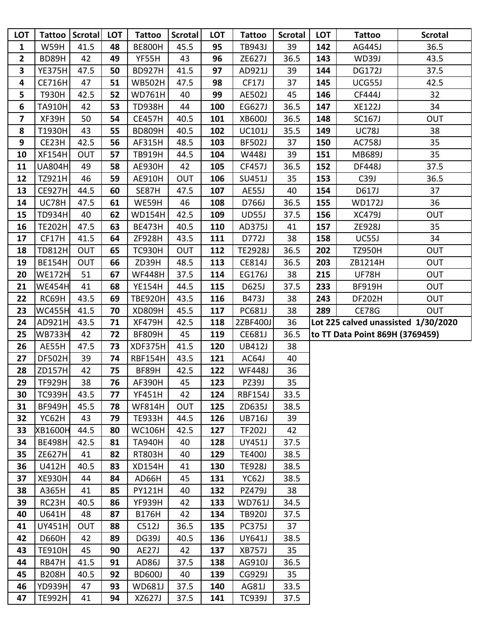| <b>LOT</b>       | Tattoo         | Scrotal    | <b>LOT</b> | <b>Tattoo</b>  | <b>Scrotal</b> | LOT | <b>Tattoo</b>  | <b>Scrotal</b> | LOT | <b>Tattoo</b>                       | <b>Scrotal</b> |
|------------------|----------------|------------|------------|----------------|----------------|-----|----------------|----------------|-----|-------------------------------------|----------------|
| 1                | <b>W59H</b>    | 41.5       | 48         | <b>BE800H</b>  | 45.5           | 95  | <b>TB943J</b>  | 39             | 142 | AG445J                              | 36.5           |
| $\overline{2}$   | BD89H          | 42         | 49         | YF55H          | 43             | 96  | ZE627J         | 36.5           | 143 | <b>WD39J</b>                        | 43.5           |
| 3                | <b>YE375H</b>  | 47.5       | 50         | <b>BD927H</b>  | 41.5           | 97  | AD921J         | 39             | 144 | <b>DG172J</b>                       | 37.5           |
| 4                | <b>CE716H</b>  | 47         | 51         | <b>WB502H</b>  | 47.5           | 98  | CF17J          | 37             | 145 | UCG55J                              | 42.5           |
| 5                | <b>T930H</b>   | 42.5       | 52         | <b>WD761H</b>  | 40             | 99  | <b>AE502J</b>  | 45             | 146 | <b>CF444J</b>                       | 32             |
| $\boldsymbol{6}$ | <b>TA910H</b>  | 42         | 53         | <b>TD938H</b>  | 44             | 100 | EG627J         | 36.5           | 147 | <b>XE122J</b>                       | 34             |
| 7                | XF39H          | 50         | 54         | <b>CE457H</b>  | 40.5           | 101 | <b>XB600J</b>  | 36.5           | 148 | <b>SC167J</b>                       | <b>OUT</b>     |
| 8                | T1930H         | 43         | 55         | <b>BD809H</b>  | 40.5           | 102 | <b>UC101J</b>  | 35.5           | 149 | <b>UC78J</b>                        | 38             |
| 9                | CE23H          | 42.5       | 56         | AF315H         | 48.5           | 103 | <b>BF502J</b>  | 37             | 150 | <b>AC758J</b>                       | 35             |
| 10               | <b>XF154H</b>  | <b>OUT</b> | 57         | <b>TB919H</b>  | 44.5           | 104 | W448J          | 39             | 151 | <b>MB689J</b>                       | 35             |
| 11               | <b>UA804H</b>  | 49         | 58         | <b>AE930H</b>  | 42             | 105 | <b>CF457J</b>  | 36.5           | 152 | <b>DF448J</b>                       | 37.5           |
| 12               | TZ921H         | 46         | 59         | <b>AE910H</b>  | OUT            | 106 | <b>SU451J</b>  | 35             | 153 | C39J                                | 36.5           |
| 13               | <b>CE927H</b>  | 44.5       | 60         | SE87H          | 47.5           | 107 | AE55J          | 40             | 154 | D617J                               | 37             |
| 14               | UC78H          | 47.5       | 61         | WE59H          | 46             | 108 | D766J          | 36.5           | 155 | <b>WD172J</b>                       | 36             |
| 15               | <b>TD934H</b>  | 40         | 62         | <b>WD154H</b>  | 42.5           | 109 | <b>UD55J</b>   | 37.5           | 156 | <b>XC479J</b>                       | <b>OUT</b>     |
| 16               | <b>TE202H</b>  | 47.5       | 63         | <b>BE473H</b>  | 40.5           | 110 | AD375J         | 41             | 157 | ZE928J                              | 35             |
| 17               | CF17H          | 41.5       | 64         | ZF928H         | 43.5           | 111 | D772J          | 38             | 158 | UC55J                               | 34             |
| 18               | <b>TD812H</b>  | <b>OUT</b> | 65         | <b>TC930H</b>  | <b>OUT</b>     | 112 | <b>TE2928J</b> | 36.5           | 202 | <b>TZ950H</b>                       | <b>OUT</b>     |
| 19               | <b>BE154H</b>  | <b>OUT</b> | 66         | ZD39H          | 48.5           | 113 | <b>CE814J</b>  | 36.5           | 203 | ZB1214H                             | <b>OUT</b>     |
| 20               | <b>WE172H</b>  | 51         | 67         | <b>WF448H</b>  | 37.5           | 114 | EG176J         | 38             | 215 | <b>UF78H</b>                        | <b>OUT</b>     |
| 21               | <b>WE454H</b>  | 41         | 68         | <b>YE154H</b>  | 44.5           | 115 | D625J          | 37.5           | 233 | <b>BF919H</b>                       | <b>OUT</b>     |
| 22               | RC69H          | 43.5       | 69         | <b>TBE920H</b> | 43.5           | 116 | B473J          | 38             | 243 | <b>DF202H</b>                       | <b>OUT</b>     |
| 23               | WC455H         | 41.5       | 70         | <b>XD809H</b>  | 45.5           | 117 | PC681J         | 38             | 289 | <b>CE78G</b>                        | <b>OUT</b>     |
| 24               | AD921H         | 43.5       | 71         | <b>XF479H</b>  | 42.5           | 118 | 2ZBF400J       | 36             |     | Lot 225 calved unassisted 1/30/2020 |                |
| 25               | <b>WB733H</b>  | 42         | 72         | <b>BF809H</b>  | 45             | 119 | CE681J         | 36.5           |     | to TT Data Point 869H (3769459)     |                |
| 26               | AE55H          | 47.5       | 73         | XDF375H        | 41.5           | 120 | <b>UB412J</b>  | 38             |     |                                     |                |
| 27               | <b>DF502H</b>  | 39         | 74         | <b>RBF154H</b> | 43.5           | 121 | AC64J          | 40             |     |                                     |                |
| 28               | ZD157H         | 42         | 75         | BF89H          | 42.5           | 122 | <b>WF448J</b>  | 36             |     |                                     |                |
| 29               | TF929H         | 38         | 76         | AF390H         | 45             | 123 | PZ39J          | 35             |     |                                     |                |
| 30               | <b>TC939H</b>  | 43.5       | 77         | <b>YF451H</b>  | 42             | 124 | <b>RBF154J</b> | 33.5           |     |                                     |                |
| 31               | <b>BF949H</b>  | 45.5       | 78         | <b>WF814H</b>  | <b>OUT</b>     | 125 | ZD635J         | 38.5           |     |                                     |                |
| 32               | YC62H          | 43         | 79         | <b>TE933H</b>  | 44.5           | 126 | <b>UB716J</b>  | 39             |     |                                     |                |
| 33               | <b>XB1600H</b> | 44.5       | 80         | <b>WC106H</b>  | 42.5           | 127 | <b>TF202J</b>  | 42             |     |                                     |                |
| 34               | <b>BE498H</b>  | 42.5       | 81         | <b>TA940H</b>  | 40             | 128 | UY451J         | 37.5           |     |                                     |                |
| 35               | <b>ZE627H</b>  | 41         | 82         | <b>RT803H</b>  | 40             | 129 | <b>TE400J</b>  | 38.5           |     |                                     |                |
| 36               | U412H          | 40.5       | 83         | <b>XD154H</b>  | 41             | 130 | <b>TE928J</b>  | 38.5           |     |                                     |                |
| 37               | <b>XE930H</b>  | 44         | 84         | AD66H          | 45             | 131 | YC62J          | 38.5           |     |                                     |                |
| 38               | A365H          | 41         | 85         | PY121H         | 40             | 132 | PZ479J         | 38             |     |                                     |                |
| 39               | RC23H          | 40.5       | 86         | <b>YF939H</b>  | 42             | 133 | <b>WD761J</b>  | 34.5           |     |                                     |                |
| 40               | U641H          | 48         | 87         | <b>B176H</b>   | 42             | 134 | <b>TB920J</b>  | 37.5           |     |                                     |                |
| 41               |                |            |            |                |                |     | <b>PC375J</b>  | 37             |     |                                     |                |
|                  | <b>UY451H</b>  | <b>OUT</b> | 88         | C512J          | 36.5           | 135 |                |                |     |                                     |                |
| 42               | <b>D660H</b>   | 42         | 89         | DG39J          | 40.5           | 136 | UY641J         | 38.5           |     |                                     |                |
| 43               | <b>TE910H</b>  | 45         | 90         | AE27J          | 42             | 137 | <b>XB757J</b>  | 35             |     |                                     |                |
| 44               | RB47H          | 41.5       | 91         | AD86J          | 37.5           | 138 | AG910J         | 36.5           |     |                                     |                |
| 45               | <b>B208H</b>   | 40.5       | 92         | <b>BD600J</b>  | 40             | 139 | CG929J         | 35             |     |                                     |                |
| 46               | <b>YD939H</b>  | 47         | 93         | <b>WD681J</b>  | 37.5           | 140 | AG81J          | 33.5           |     |                                     |                |